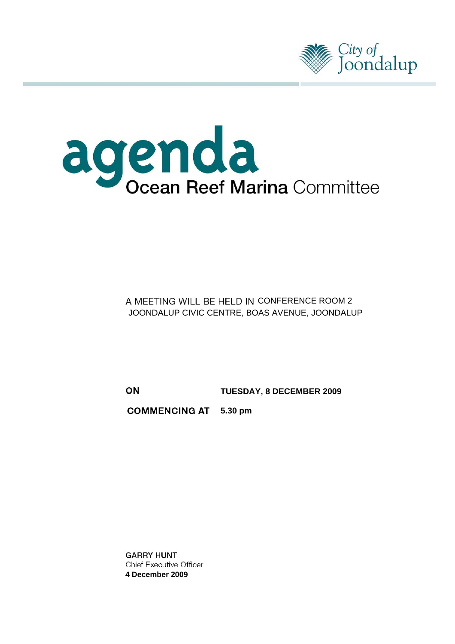



A MEETING WILL BE HELD IN CONFERENCE ROOM 2 JOONDALUP CIVIC CENTRE, BOAS AVENUE, JOONDALUP

 **TUESDAY, 8 DECEMBER 2009** 

**COMMENCING AT 5.30 pm** 

**GARRY HUNT Chief Executive Officer 4 December 2009**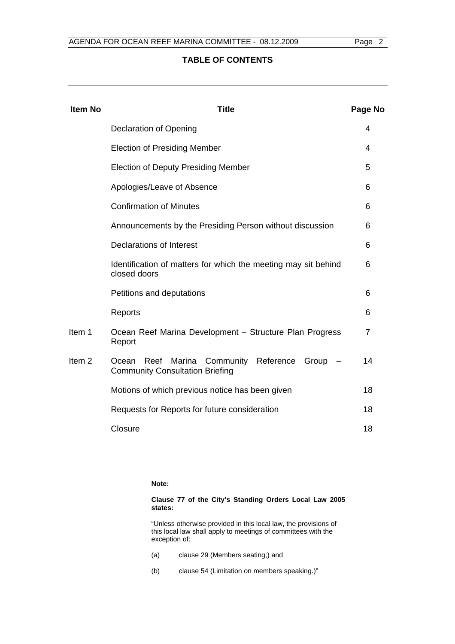# **TABLE OF CONTENTS**

| <b>Item No</b>    | <b>Title</b>                                                                                   | Page No |
|-------------------|------------------------------------------------------------------------------------------------|---------|
|                   | <b>Declaration of Opening</b>                                                                  | 4       |
|                   | <b>Election of Presiding Member</b>                                                            | 4       |
|                   | <b>Election of Deputy Presiding Member</b>                                                     | 5       |
|                   | Apologies/Leave of Absence                                                                     | 6       |
|                   | <b>Confirmation of Minutes</b>                                                                 | 6       |
|                   | Announcements by the Presiding Person without discussion                                       | 6       |
|                   | Declarations of Interest                                                                       | 6       |
|                   | Identification of matters for which the meeting may sit behind<br>closed doors                 | 6       |
|                   | Petitions and deputations                                                                      | 6       |
|                   | Reports                                                                                        | 6       |
| Item 1            | Ocean Reef Marina Development - Structure Plan Progress<br>Report                              | 7       |
| Item <sub>2</sub> | Reef<br>Marina Community Reference<br>Group<br>Ocean<br><b>Community Consultation Briefing</b> | 14      |
|                   | Motions of which previous notice has been given                                                | 18      |
|                   | Requests for Reports for future consideration                                                  | 18      |
|                   | Closure                                                                                        | 18      |

**Note:** 

**Clause 77 of the City's Standing Orders Local Law 2005 states:** 

"Unless otherwise provided in this local law, the provisions of this local law shall apply to meetings of committees with the exception of:

- (a) clause 29 (Members seating;) and
- (b) clause 54 (Limitation on members speaking.)"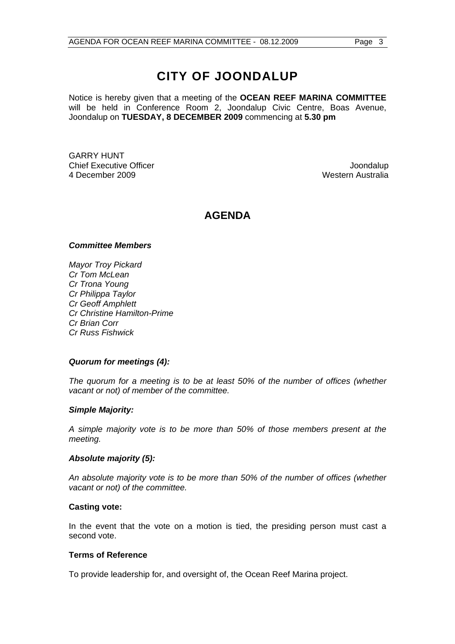# **CITY OF JOONDALUP**

Notice is hereby given that a meeting of the **OCEAN REEF MARINA COMMITTEE**  will be held in Conference Room 2, Joondalup Civic Centre, Boas Avenue, Joondalup on **TUESDAY, 8 DECEMBER 2009** commencing at **5.30 pm** 

GARRY HUNT Chief Executive Officer  $\Box$  Joondalup Joondalup 4 December 2009 Western Australia

# **AGENDA**

#### *Committee Members*

*Mayor Troy Pickard Cr Tom McLean Cr Trona Young Cr Philippa Taylor Cr Geoff Amphlett Cr Christine Hamilton-Prime Cr Brian Corr Cr Russ Fishwick* 

# *Quorum for meetings (4):*

*The quorum for a meeting is to be at least 50% of the number of offices (whether vacant or not) of member of the committee.* 

#### *Simple Majority:*

*A simple majority vote is to be more than 50% of those members present at the meeting.* 

#### *Absolute majority (5):*

*An absolute majority vote is to be more than 50% of the number of offices (whether vacant or not) of the committee.* 

#### **Casting vote:**

In the event that the vote on a motion is tied, the presiding person must cast a second vote.

#### **Terms of Reference**

To provide leadership for, and oversight of, the Ocean Reef Marina project.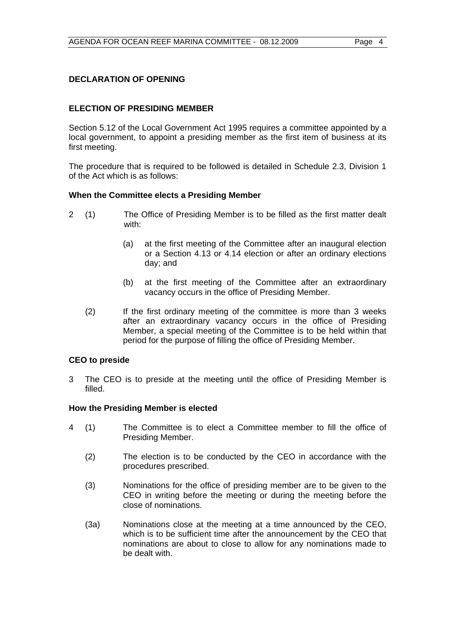# **DECLARATION OF OPENING**

# **ELECTION OF PRESIDING MEMBER**

Section 5.12 of the Local Government Act 1995 requires a committee appointed by a local government, to appoint a presiding member as the first item of business at its first meeting.

The procedure that is required to be followed is detailed in Schedule 2.3, Division 1 of the Act which is as follows:

#### **When the Committee elects a Presiding Member**

- 2 (1) The Office of Presiding Member is to be filled as the first matter dealt with:
	- (a) at the first meeting of the Committee after an inaugural election or a Section 4.13 or 4.14 election or after an ordinary elections day; and
	- (b) at the first meeting of the Committee after an extraordinary vacancy occurs in the office of Presiding Member.
	- (2) If the first ordinary meeting of the committee is more than 3 weeks after an extraordinary vacancy occurs in the office of Presiding Member, a special meeting of the Committee is to be held within that period for the purpose of filling the office of Presiding Member.

#### **CEO to preside**

3 The CEO is to preside at the meeting until the office of Presiding Member is filled.

#### **How the Presiding Member is elected**

- 4 (1) The Committee is to elect a Committee member to fill the office of Presiding Member.
	- (2) The election is to be conducted by the CEO in accordance with the procedures prescribed.
	- (3) Nominations for the office of presiding member are to be given to the CEO in writing before the meeting or during the meeting before the close of nominations.
	- (3a) Nominations close at the meeting at a time announced by the CEO, which is to be sufficient time after the announcement by the CEO that nominations are about to close to allow for any nominations made to be dealt with.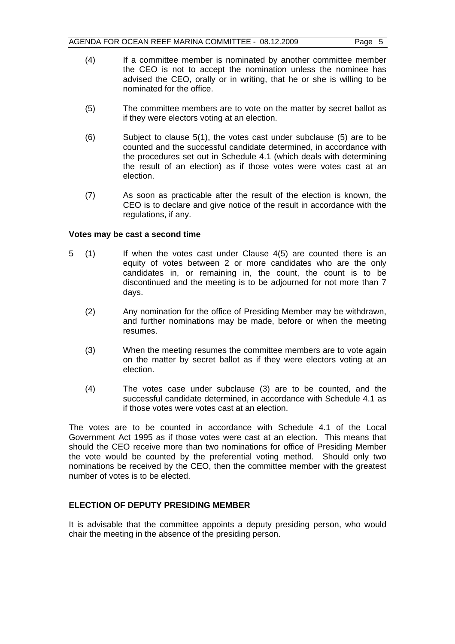- (4) If a committee member is nominated by another committee member the CEO is not to accept the nomination unless the nominee has advised the CEO, orally or in writing, that he or she is willing to be nominated for the office.
- (5) The committee members are to vote on the matter by secret ballot as if they were electors voting at an election.
- (6) Subject to clause 5(1), the votes cast under subclause (5) are to be counted and the successful candidate determined, in accordance with the procedures set out in Schedule 4.1 (which deals with determining the result of an election) as if those votes were votes cast at an election.
- (7) As soon as practicable after the result of the election is known, the CEO is to declare and give notice of the result in accordance with the regulations, if any.

#### **Votes may be cast a second time**

- 5 (1) If when the votes cast under Clause 4(5) are counted there is an equity of votes between 2 or more candidates who are the only candidates in, or remaining in, the count, the count is to be discontinued and the meeting is to be adjourned for not more than 7 days.
	- (2) Any nomination for the office of Presiding Member may be withdrawn, and further nominations may be made, before or when the meeting resumes.
	- (3) When the meeting resumes the committee members are to vote again on the matter by secret ballot as if they were electors voting at an election.
	- (4) The votes case under subclause (3) are to be counted, and the successful candidate determined, in accordance with Schedule 4.1 as if those votes were votes cast at an election.

The votes are to be counted in accordance with Schedule 4.1 of the Local Government Act 1995 as if those votes were cast at an election. This means that should the CEO receive more than two nominations for office of Presiding Member the vote would be counted by the preferential voting method. Should only two nominations be received by the CEO, then the committee member with the greatest number of votes is to be elected.

# **ELECTION OF DEPUTY PRESIDING MEMBER**

It is advisable that the committee appoints a deputy presiding person, who would chair the meeting in the absence of the presiding person.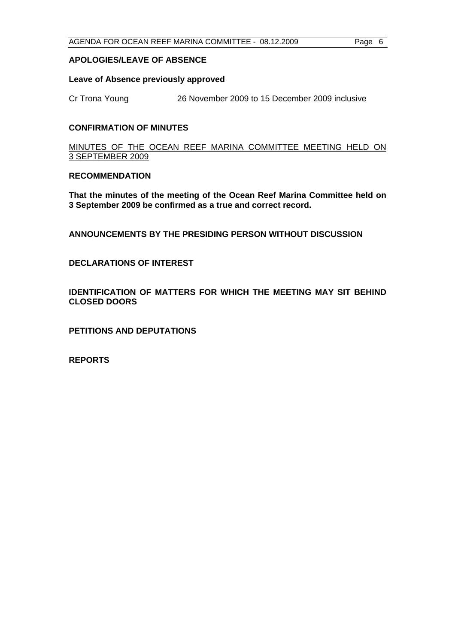#### **APOLOGIES/LEAVE OF ABSENCE**

#### **Leave of Absence previously approved**

Cr Trona Young 26 November 2009 to 15 December 2009 inclusive

#### **CONFIRMATION OF MINUTES**

MINUTES OF THE OCEAN REEF MARINA COMMITTEE MEETING HELD ON 3 SEPTEMBER 2009

#### **RECOMMENDATION**

**That the minutes of the meeting of the Ocean Reef Marina Committee held on 3 September 2009 be confirmed as a true and correct record.** 

**ANNOUNCEMENTS BY THE PRESIDING PERSON WITHOUT DISCUSSION** 

**DECLARATIONS OF INTEREST** 

**IDENTIFICATION OF MATTERS FOR WHICH THE MEETING MAY SIT BEHIND CLOSED DOORS** 

**PETITIONS AND DEPUTATIONS** 

**REPORTS**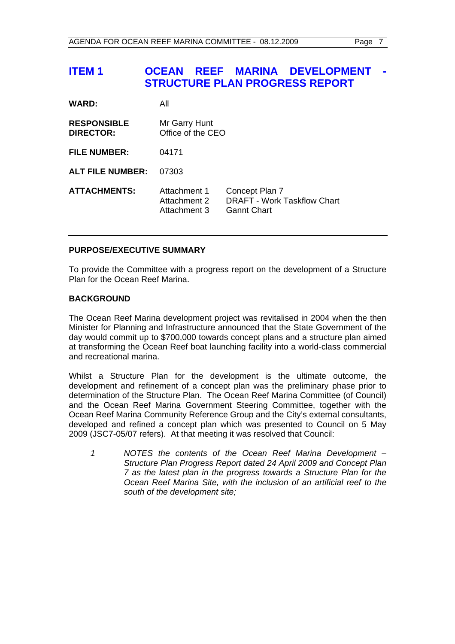# **ITEM 1 OCEAN REEF MARINA DEVELOPMENT STRUCTURE PLAN PROGRESS REPORT**

| <b>WARD:</b>                           | All                                          |                                                                            |
|----------------------------------------|----------------------------------------------|----------------------------------------------------------------------------|
| <b>RESPONSIBLE</b><br><b>DIRECTOR:</b> | Mr Garry Hunt<br>Office of the CEO           |                                                                            |
| <b>FILE NUMBER:</b>                    | 04171                                        |                                                                            |
| <b>ALT FILE NUMBER:</b>                | 07303                                        |                                                                            |
| <b>ATTACHMENTS:</b>                    | Attachment 1<br>Attachment 2<br>Attachment 3 | Concept Plan 7<br><b>DRAFT - Work Taskflow Chart</b><br><b>Gannt Chart</b> |

# **PURPOSE/EXECUTIVE SUMMARY**

To provide the Committee with a progress report on the development of a Structure Plan for the Ocean Reef Marina.

# **BACKGROUND**

The Ocean Reef Marina development project was revitalised in 2004 when the then Minister for Planning and Infrastructure announced that the State Government of the day would commit up to \$700,000 towards concept plans and a structure plan aimed at transforming the Ocean Reef boat launching facility into a world-class commercial and recreational marina.

Whilst a Structure Plan for the development is the ultimate outcome, the development and refinement of a concept plan was the preliminary phase prior to determination of the Structure Plan. The Ocean Reef Marina Committee (of Council) and the Ocean Reef Marina Government Steering Committee, together with the Ocean Reef Marina Community Reference Group and the City's external consultants, developed and refined a concept plan which was presented to Council on 5 May 2009 (JSC7-05/07 refers). At that meeting it was resolved that Council:

 *1 NOTES the contents of the Ocean Reef Marina Development – Structure Plan Progress Report dated 24 April 2009 and Concept Plan 7 as the latest plan in the progress towards a Structure Plan for the Ocean Reef Marina Site, with the inclusion of an artificial reef to the south of the development site;*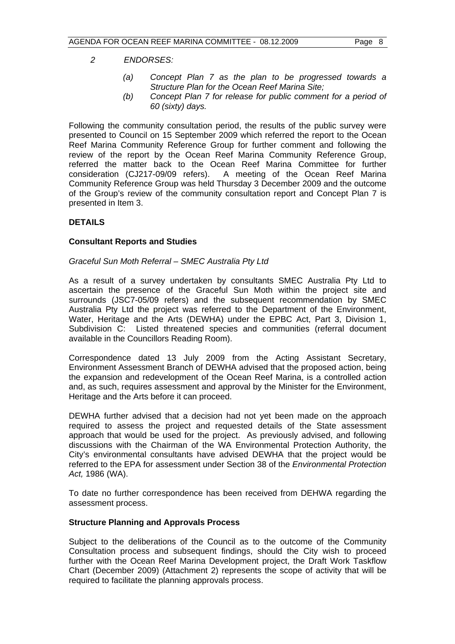#### *2 ENDORSES:*

- *(a) Concept Plan 7 as the plan to be progressed towards a Structure Plan for the Ocean Reef Marina Site;*
- *(b) Concept Plan 7 for release for public comment for a period of 60 (sixty) days.*

Following the community consultation period, the results of the public survey were presented to Council on 15 September 2009 which referred the report to the Ocean Reef Marina Community Reference Group for further comment and following the review of the report by the Ocean Reef Marina Community Reference Group, referred the matter back to the Ocean Reef Marina Committee for further consideration (CJ217-09/09 refers). A meeting of the Ocean Reef Marina Community Reference Group was held Thursday 3 December 2009 and the outcome of the Group's review of the community consultation report and Concept Plan 7 is presented in Item 3.

### **DETAILS**

#### **Consultant Reports and Studies**

#### *Graceful Sun Moth Referral – SMEC Australia Pty Ltd*

As a result of a survey undertaken by consultants SMEC Australia Pty Ltd to ascertain the presence of the Graceful Sun Moth within the project site and surrounds (JSC7-05/09 refers) and the subsequent recommendation by SMEC Australia Pty Ltd the project was referred to the Department of the Environment, Water, Heritage and the Arts (DEWHA) under the EPBC Act, Part 3, Division 1, Subdivision C: Listed threatened species and communities (referral document available in the Councillors Reading Room).

Correspondence dated 13 July 2009 from the Acting Assistant Secretary, Environment Assessment Branch of DEWHA advised that the proposed action, being the expansion and redevelopment of the Ocean Reef Marina, is a controlled action and, as such, requires assessment and approval by the Minister for the Environment, Heritage and the Arts before it can proceed.

DEWHA further advised that a decision had not yet been made on the approach required to assess the project and requested details of the State assessment approach that would be used for the project. As previously advised, and following discussions with the Chairman of the WA Environmental Protection Authority, the City's environmental consultants have advised DEWHA that the project would be referred to the EPA for assessment under Section 38 of the *Environmental Protection Act,* 1986 (WA).

To date no further correspondence has been received from DEHWA regarding the assessment process.

#### **Structure Planning and Approvals Process**

Subject to the deliberations of the Council as to the outcome of the Community Consultation process and subsequent findings, should the City wish to proceed further with the Ocean Reef Marina Development project, the Draft Work Taskflow Chart (December 2009) (Attachment 2) represents the scope of activity that will be required to facilitate the planning approvals process.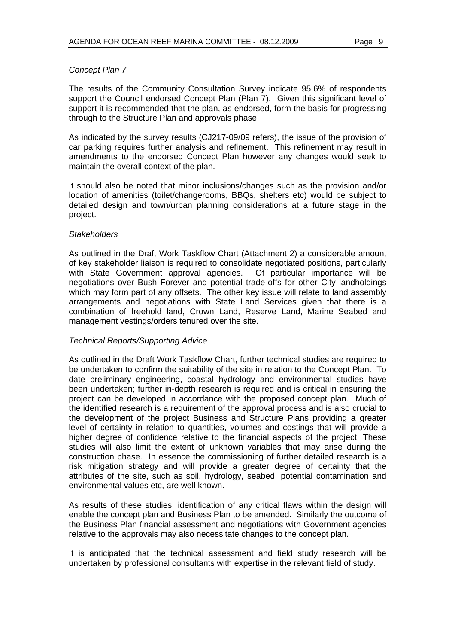#### *Concept Plan 7*

The results of the Community Consultation Survey indicate 95.6% of respondents support the Council endorsed Concept Plan (Plan 7). Given this significant level of support it is recommended that the plan, as endorsed, form the basis for progressing through to the Structure Plan and approvals phase.

As indicated by the survey results (CJ217-09/09 refers), the issue of the provision of car parking requires further analysis and refinement. This refinement may result in amendments to the endorsed Concept Plan however any changes would seek to maintain the overall context of the plan.

It should also be noted that minor inclusions/changes such as the provision and/or location of amenities (toilet/changerooms, BBQs, shelters etc) would be subject to detailed design and town/urban planning considerations at a future stage in the project.

#### *Stakeholders*

As outlined in the Draft Work Taskflow Chart (Attachment 2) a considerable amount of key stakeholder liaison is required to consolidate negotiated positions, particularly with State Government approval agencies. Of particular importance will be negotiations over Bush Forever and potential trade-offs for other City landholdings which may form part of any offsets. The other key issue will relate to land assembly arrangements and negotiations with State Land Services given that there is a combination of freehold land, Crown Land, Reserve Land, Marine Seabed and management vestings/orders tenured over the site.

#### *Technical Reports/Supporting Advice*

As outlined in the Draft Work Taskflow Chart, further technical studies are required to be undertaken to confirm the suitability of the site in relation to the Concept Plan. To date preliminary engineering, coastal hydrology and environmental studies have been undertaken; further in-depth research is required and is critical in ensuring the project can be developed in accordance with the proposed concept plan. Much of the identified research is a requirement of the approval process and is also crucial to the development of the project Business and Structure Plans providing a greater level of certainty in relation to quantities, volumes and costings that will provide a higher degree of confidence relative to the financial aspects of the project. These studies will also limit the extent of unknown variables that may arise during the construction phase. In essence the commissioning of further detailed research is a risk mitigation strategy and will provide a greater degree of certainty that the attributes of the site, such as soil, hydrology, seabed, potential contamination and environmental values etc, are well known.

As results of these studies, identification of any critical flaws within the design will enable the concept plan and Business Plan to be amended. Similarly the outcome of the Business Plan financial assessment and negotiations with Government agencies relative to the approvals may also necessitate changes to the concept plan.

It is anticipated that the technical assessment and field study research will be undertaken by professional consultants with expertise in the relevant field of study.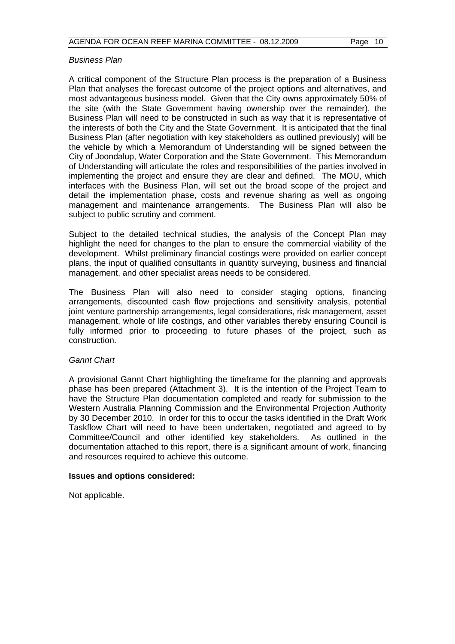#### *Business Plan*

A critical component of the Structure Plan process is the preparation of a Business Plan that analyses the forecast outcome of the project options and alternatives, and most advantageous business model. Given that the City owns approximately 50% of the site (with the State Government having ownership over the remainder), the Business Plan will need to be constructed in such as way that it is representative of the interests of both the City and the State Government. It is anticipated that the final Business Plan (after negotiation with key stakeholders as outlined previously) will be the vehicle by which a Memorandum of Understanding will be signed between the City of Joondalup, Water Corporation and the State Government. This Memorandum of Understanding will articulate the roles and responsibilities of the parties involved in implementing the project and ensure they are clear and defined. The MOU, which interfaces with the Business Plan, will set out the broad scope of the project and detail the implementation phase, costs and revenue sharing as well as ongoing management and maintenance arrangements. The Business Plan will also be subject to public scrutiny and comment.

Subject to the detailed technical studies, the analysis of the Concept Plan may highlight the need for changes to the plan to ensure the commercial viability of the development. Whilst preliminary financial costings were provided on earlier concept plans, the input of qualified consultants in quantity surveying, business and financial management, and other specialist areas needs to be considered.

The Business Plan will also need to consider staging options, financing arrangements, discounted cash flow projections and sensitivity analysis, potential joint venture partnership arrangements, legal considerations, risk management, asset management, whole of life costings, and other variables thereby ensuring Council is fully informed prior to proceeding to future phases of the project, such as construction.

# *Gannt Chart*

A provisional Gannt Chart highlighting the timeframe for the planning and approvals phase has been prepared (Attachment 3). It is the intention of the Project Team to have the Structure Plan documentation completed and ready for submission to the Western Australia Planning Commission and the Environmental Projection Authority by 30 December 2010. In order for this to occur the tasks identified in the Draft Work Taskflow Chart will need to have been undertaken, negotiated and agreed to by Committee/Council and other identified key stakeholders. As outlined in the documentation attached to this report, there is a significant amount of work, financing and resources required to achieve this outcome.

#### **Issues and options considered:**

Not applicable.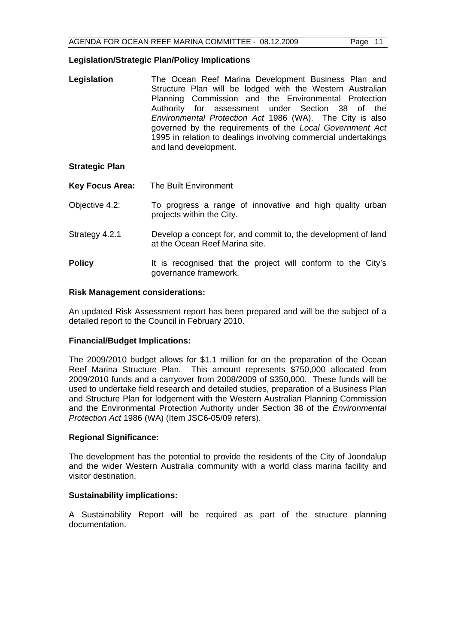#### **Legislation/Strategic Plan/Policy Implications**

**Legislation** The Ocean Reef Marina Development Business Plan and Structure Plan will be lodged with the Western Australian Planning Commission and the Environmental Protection Authority for assessment under Section 38 of the *Environmental Protection Act* 1986 (WA). The City is also governed by the requirements of the *Local Government Act* 1995 in relation to dealings involving commercial undertakings and land development.

# **Strategic Plan**

- **Key Focus Area:** The Built Environment
- Objective 4.2: To progress a range of innovative and high quality urban projects within the City.
- Strategy 4.2.1 Develop a concept for, and commit to, the development of land at the Ocean Reef Marina site.
- **Policy** It is recognised that the project will conform to the City's governance framework.

#### **Risk Management considerations:**

An updated Risk Assessment report has been prepared and will be the subject of a detailed report to the Council in February 2010.

#### **Financial/Budget Implications:**

The 2009/2010 budget allows for \$1.1 million for on the preparation of the Ocean Reef Marina Structure Plan. This amount represents \$750,000 allocated from 2009/2010 funds and a carryover from 2008/2009 of \$350,000. These funds will be used to undertake field research and detailed studies, preparation of a Business Plan and Structure Plan for lodgement with the Western Australian Planning Commission and the Environmental Protection Authority under Section 38 of the *Environmental Protection Act* 1986 (WA) (Item JSC6-05/09 refers).

#### **Regional Significance:**

The development has the potential to provide the residents of the City of Joondalup and the wider Western Australia community with a world class marina facility and visitor destination.

#### **Sustainability implications:**

A Sustainability Report will be required as part of the structure planning documentation.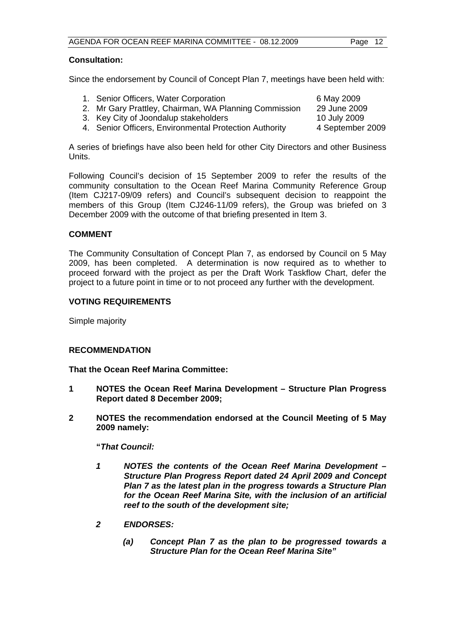## **Consultation:**

Since the endorsement by Council of Concept Plan 7, meetings have been held with:

| 1. Senior Officers, Water Corporation                  | 6 May 2009       |
|--------------------------------------------------------|------------------|
| 2. Mr Gary Prattley, Chairman, WA Planning Commission  | 29 June 2009     |
| 3. Key City of Joondalup stakeholders                  | 10 July 2009     |
| 4. Senior Officers, Environmental Protection Authority | 4 September 2009 |

A series of briefings have also been held for other City Directors and other Business **Units** 

Following Council's decision of 15 September 2009 to refer the results of the community consultation to the Ocean Reef Marina Community Reference Group (Item CJ217-09/09 refers) and Council's subsequent decision to reappoint the members of this Group (Item CJ246-11/09 refers), the Group was briefed on 3 December 2009 with the outcome of that briefing presented in Item 3.

# **COMMENT**

The Community Consultation of Concept Plan 7, as endorsed by Council on 5 May 2009, has been completed. A determination is now required as to whether to proceed forward with the project as per the Draft Work Taskflow Chart, defer the project to a future point in time or to not proceed any further with the development.

#### **VOTING REQUIREMENTS**

Simple majority

#### **RECOMMENDATION**

**That the Ocean Reef Marina Committee:** 

- **1 NOTES the Ocean Reef Marina Development Structure Plan Progress Report dated 8 December 2009;**
- **2 NOTES the recommendation endorsed at the Council Meeting of 5 May 2009 namely:**

 **"***That Council:* 

- *1 NOTES the contents of the Ocean Reef Marina Development Structure Plan Progress Report dated 24 April 2009 and Concept Plan 7 as the latest plan in the progress towards a Structure Plan for the Ocean Reef Marina Site, with the inclusion of an artificial reef to the south of the development site;*
- *2 ENDORSES:* 
	- *(a) Concept Plan 7 as the plan to be progressed towards a Structure Plan for the Ocean Reef Marina Site"*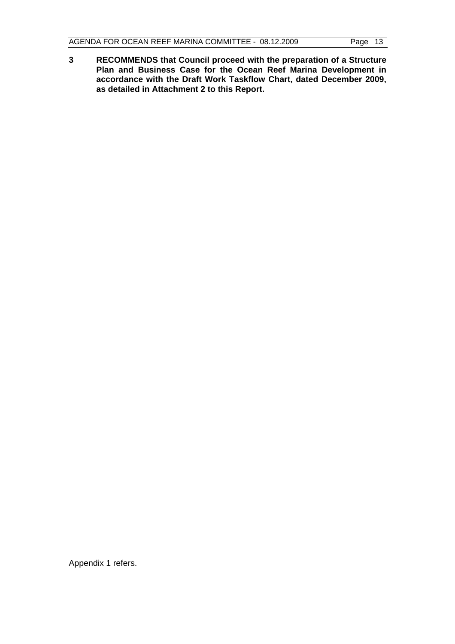**3 RECOMMENDS that Council proceed with the preparation of a Structure Plan and Business Case for the Ocean Reef Marina Development in accordance with the Draft Work Taskflow Chart, dated December 2009, as detailed in Attachment 2 to this Report.** 

Appendix 1 refers.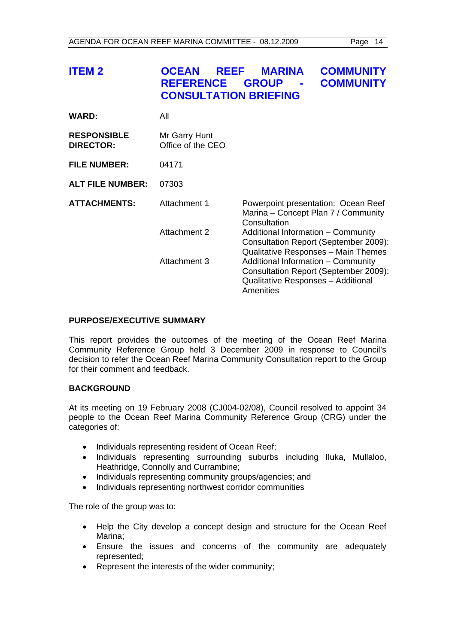| <b>ITEM 2</b>                          | <b>OCEAN</b><br><b>REEF</b><br><b>REFERENCE</b><br><b>CONSULTATION BRIEFING</b> | <b>MARINA</b><br><b>GROUP</b>                                                                                                  | <b>COMMUNITY</b><br><b>COMMUNITY</b> |  |
|----------------------------------------|---------------------------------------------------------------------------------|--------------------------------------------------------------------------------------------------------------------------------|--------------------------------------|--|
| <b>WARD:</b>                           | All                                                                             |                                                                                                                                |                                      |  |
| <b>RESPONSIBLE</b><br><b>DIRECTOR:</b> | Mr Garry Hunt<br>Office of the CEO                                              |                                                                                                                                |                                      |  |
| <b>FILE NUMBER:</b>                    | 04171                                                                           |                                                                                                                                |                                      |  |
| <b>ALT FILE NUMBER:</b>                | 07303                                                                           |                                                                                                                                |                                      |  |
| <b>ATTACHMENTS:</b>                    | Attachment 1                                                                    | Powerpoint presentation: Ocean Reef<br>Marina – Concept Plan 7 / Community<br>Consultation                                     |                                      |  |
|                                        | Attachment 2                                                                    | Additional Information - Community<br>Consultation Report (September 2009):<br>Qualitative Responses - Main Themes             |                                      |  |
|                                        | Attachment 3                                                                    | Additional Information - Community<br>Consultation Report (September 2009):<br>Qualitative Responses - Additional<br>Amenities |                                      |  |

#### **PURPOSE/EXECUTIVE SUMMARY**

This report provides the outcomes of the meeting of the Ocean Reef Marina Community Reference Group held 3 December 2009 in response to Council's decision to refer the Ocean Reef Marina Community Consultation report to the Group for their comment and feedback.

# **BACKGROUND**

At its meeting on 19 February 2008 (CJ004-02/08), Council resolved to appoint 34 people to the Ocean Reef Marina Community Reference Group (CRG) under the categories of:

- Individuals representing resident of Ocean Reef;
- Individuals representing surrounding suburbs including Iluka, Mullaloo, Heathridge, Connolly and Currambine;
- Individuals representing community groups/agencies; and
- Individuals representing northwest corridor communities

The role of the group was to:

- Help the City develop a concept design and structure for the Ocean Reef Marina;
- Ensure the issues and concerns of the community are adequately represented;
- Represent the interests of the wider community;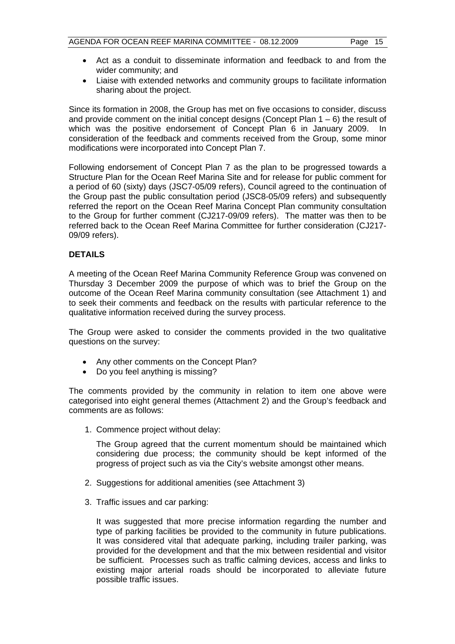- Act as a conduit to disseminate information and feedback to and from the wider community; and
- Liaise with extended networks and community groups to facilitate information sharing about the project.

Since its formation in 2008, the Group has met on five occasions to consider, discuss and provide comment on the initial concept designs (Concept Plan  $1 - 6$ ) the result of which was the positive endorsement of Concept Plan 6 in January 2009. In consideration of the feedback and comments received from the Group, some minor modifications were incorporated into Concept Plan 7.

Following endorsement of Concept Plan 7 as the plan to be progressed towards a Structure Plan for the Ocean Reef Marina Site and for release for public comment for a period of 60 (sixty) days (JSC7-05/09 refers), Council agreed to the continuation of the Group past the public consultation period (JSC8-05/09 refers) and subsequently referred the report on the Ocean Reef Marina Concept Plan community consultation to the Group for further comment (CJ217-09/09 refers). The matter was then to be referred back to the Ocean Reef Marina Committee for further consideration (CJ217- 09/09 refers).

# **DETAILS**

A meeting of the Ocean Reef Marina Community Reference Group was convened on Thursday 3 December 2009 the purpose of which was to brief the Group on the outcome of the Ocean Reef Marina community consultation (see Attachment 1) and to seek their comments and feedback on the results with particular reference to the qualitative information received during the survey process.

The Group were asked to consider the comments provided in the two qualitative questions on the survey:

- Any other comments on the Concept Plan?
- Do you feel anything is missing?

The comments provided by the community in relation to item one above were categorised into eight general themes (Attachment 2) and the Group's feedback and comments are as follows:

1. Commence project without delay:

 The Group agreed that the current momentum should be maintained which considering due process; the community should be kept informed of the progress of project such as via the City's website amongst other means.

- 2. Suggestions for additional amenities (see Attachment 3)
- 3. Traffic issues and car parking:

 It was suggested that more precise information regarding the number and type of parking facilities be provided to the community in future publications. It was considered vital that adequate parking, including trailer parking, was provided for the development and that the mix between residential and visitor be sufficient. Processes such as traffic calming devices, access and links to existing major arterial roads should be incorporated to alleviate future possible traffic issues.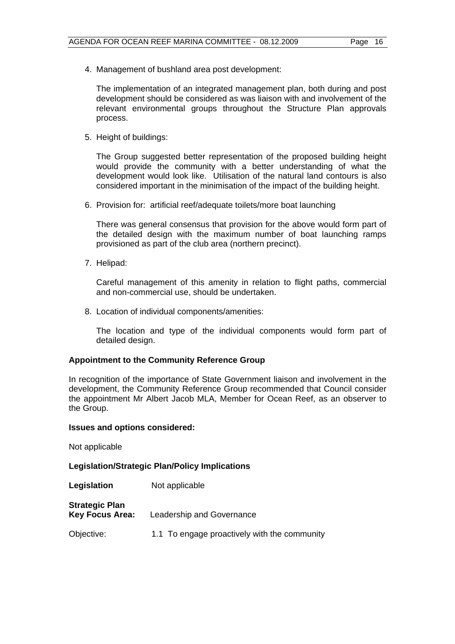4. Management of bushland area post development:

 The implementation of an integrated management plan, both during and post development should be considered as was liaison with and involvement of the relevant environmental groups throughout the Structure Plan approvals process.

5. Height of buildings:

 The Group suggested better representation of the proposed building height would provide the community with a better understanding of what the development would look like. Utilisation of the natural land contours is also considered important in the minimisation of the impact of the building height.

6. Provision for: artificial reef/adequate toilets/more boat launching

 There was general consensus that provision for the above would form part of the detailed design with the maximum number of boat launching ramps provisioned as part of the club area (northern precinct).

7. Helipad:

 Careful management of this amenity in relation to flight paths, commercial and non-commercial use, should be undertaken.

8. Location of individual components/amenities:

 The location and type of the individual components would form part of detailed design.

# **Appointment to the Community Reference Group**

In recognition of the importance of State Government liaison and involvement in the development, the Community Reference Group recommended that Council consider the appointment Mr Albert Jacob MLA, Member for Ocean Reef, as an observer to the Group.

#### **Issues and options considered:**

Not applicable

**Legislation/Strategic Plan/Policy Implications** 

- **Legislation** Not applicable
- **Strategic Plan Key Focus Area:** Leadership and Governance
- Objective: 1.1 To engage proactively with the community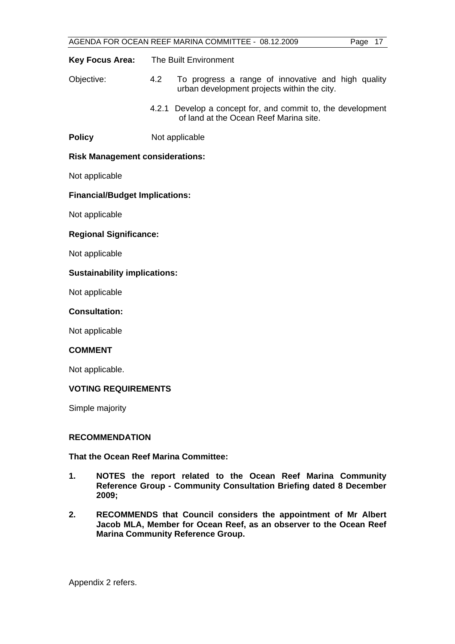| AGENDA FOR OCEAN REEF MARINA COMMITTEE - 08.12.2009 |
|-----------------------------------------------------|
|-----------------------------------------------------|

| AGENDA FOR OCEAN REEF MARINA COMMITTEE - 08.12.2009<br>Page 17 |     |                                                                                                       |  |  |  |
|----------------------------------------------------------------|-----|-------------------------------------------------------------------------------------------------------|--|--|--|
| <b>Key Focus Area:</b>                                         |     | The Built Environment                                                                                 |  |  |  |
| Objective:                                                     | 4.2 | To progress a range of innovative and high quality<br>urban development projects within the city.     |  |  |  |
|                                                                |     | 4.2.1 Develop a concept for, and commit to, the development<br>of land at the Ocean Reef Marina site. |  |  |  |
| <b>Policy</b>                                                  |     | Not applicable                                                                                        |  |  |  |
| <b>Risk Management considerations:</b>                         |     |                                                                                                       |  |  |  |
| Not applicable                                                 |     |                                                                                                       |  |  |  |
| <b>Financial/Budget Implications:</b>                          |     |                                                                                                       |  |  |  |
| Not applicable                                                 |     |                                                                                                       |  |  |  |
| <b>Regional Significance:</b>                                  |     |                                                                                                       |  |  |  |
| Not applicable                                                 |     |                                                                                                       |  |  |  |
| <b>Sustainability implications:</b>                            |     |                                                                                                       |  |  |  |
| Not applicable                                                 |     |                                                                                                       |  |  |  |
| <b>Consultation:</b>                                           |     |                                                                                                       |  |  |  |
| Not applicable                                                 |     |                                                                                                       |  |  |  |
| <b>COMMENT</b>                                                 |     |                                                                                                       |  |  |  |
| Not applicable.                                                |     |                                                                                                       |  |  |  |
| <b>VOTING REQUIREMENTS</b>                                     |     |                                                                                                       |  |  |  |
| Simple majority                                                |     |                                                                                                       |  |  |  |
| <b>RECOMMENDATION</b>                                          |     |                                                                                                       |  |  |  |

# **That the Ocean Reef Marina Committee:**

- **1. NOTES the report related to the Ocean Reef Marina Community Reference Group - Community Consultation Briefing dated 8 December 2009;**
- **2. RECOMMENDS that Council considers the appointment of Mr Albert Jacob MLA, Member for Ocean Reef, as an observer to the Ocean Reef Marina Community Reference Group.**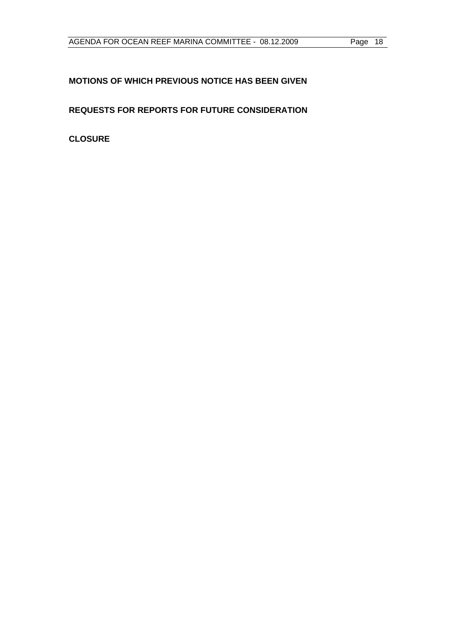# **MOTIONS OF WHICH PREVIOUS NOTICE HAS BEEN GIVEN**

**REQUESTS FOR REPORTS FOR FUTURE CONSIDERATION** 

**CLOSURE**